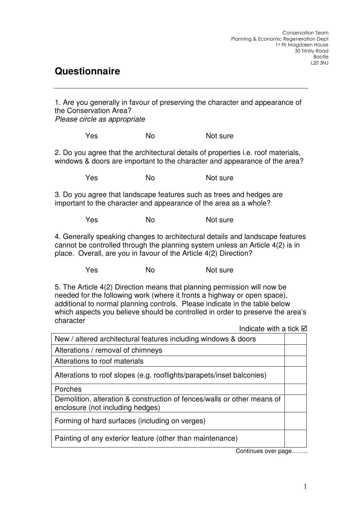## **Questionnaire**

1. Are you generally in favour of preserving the character and appearance of the Conservation Area?

Please circle as appropriate

Yes No Not sure

2. Do you agree that the architectural details of properties i.e. roof materials, windows & doors are important to the character and appearance of the area?

Yes No No Not sure

3. Do you agree that landscape features such as trees and hedges are important to the character and appearance of the area as a whole?

Yes No Not sure

4. Generally speaking changes to architectural details and landscape features cannot be controlled through the planning system unless an Article 4(2) is in place. Overall, are you in favour of the Article 4(2) Direction?

Yes No Not sure

5. The Article 4(2) Direction means that planning permission will now be needed for the following work (where it fronts a highway or open space), additional to normal planning controls. Please indicate in the table below which aspects you believe should be controlled in order to preserve the area's character Indicate with a tick  $\nabla$ 

| New / altered architectural features including windows & doors                                              |  |
|-------------------------------------------------------------------------------------------------------------|--|
| Alterations / removal of chimneys                                                                           |  |
| Alterations to roof materials                                                                               |  |
| Alterations to roof slopes (e.g. rooflights/parapets/inset balconies)                                       |  |
| Porches                                                                                                     |  |
| Demolition, alteration & construction of fences/walls or other means of<br>enclosure (not including hedges) |  |
| Forming of hard surfaces (including on verges)                                                              |  |
| Painting of any exterior feature (other than maintenance)                                                   |  |

Continues over page……..